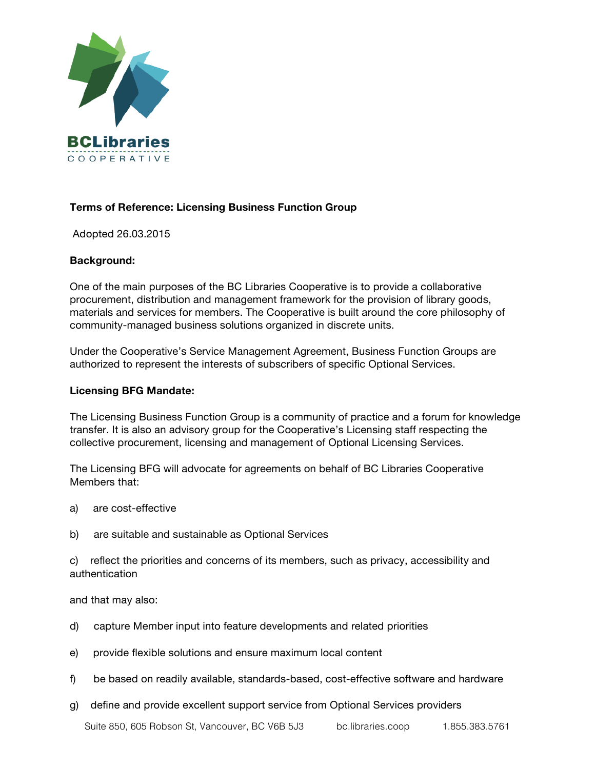

# **Terms of Reference: Licensing Business Function Group**

Adopted 26.03.2015

## **Background:**

One of the main purposes of the BC Libraries Cooperative is to provide a collaborative procurement, distribution and management framework for the provision of library goods, materials and services for members. The Cooperative is built around the core philosophy of community-managed business solutions organized in discrete units.

Under the Cooperative's Service Management Agreement, Business Function Groups are authorized to represent the interests of subscribers of specific Optional Services.

#### **Licensing BFG Mandate:**

The Licensing Business Function Group is a community of practice and a forum for knowledge transfer. It is also an advisory group for the Cooperative's Licensing staff respecting the collective procurement, licensing and management of Optional Licensing Services.

The Licensing BFG will advocate for agreements on behalf of BC Libraries Cooperative Members that:

- a) are cost-effective
- b) are suitable and sustainable as Optional Services

c) reflect the priorities and concerns of its members, such as privacy, accessibility and authentication

and that may also:

- d) capture Member input into feature developments and related priorities
- e) provide flexible solutions and ensure maximum local content
- f) be based on readily available, standards-based, cost-effective software and hardware
- g) define and provide excellent support service from Optional Services providers